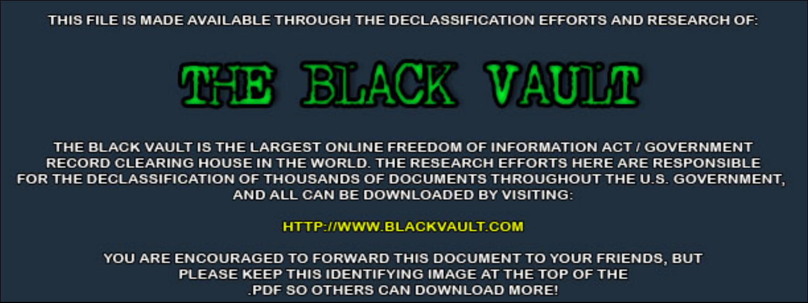THIS FILE IS MADE AVAILABLE THROUGH THE DECLASSIFICATION EFFORTS AND RESEARCH OF:



THE BLACK VAULT IS THE LARGEST ONLINE FREEDOM OF INFORMATION ACT / GOVERNMENT RECORD CLEARING HOUSE IN THE WORLD. THE RESEARCH EFFORTS HERE ARE RESPONSIBLE FOR THE DECLASSIFICATION OF THOUSANDS OF DOCUMENTS THROUGHOUT THE U.S. GOVERNMENT, AND ALL CAN BE DOWNLOADED BY VISITING:

**HTTP://WWW.BLACKVAULT.COM** 

YOU ARE ENCOURAGED TO FORWARD THIS DOCUMENT TO YOUR FRIENDS, BUT PLEASE KEEP THIS IDENTIFYING IMAGE AT THE TOP OF THE PDF SO OTHERS CAN DOWNLOAD MORE!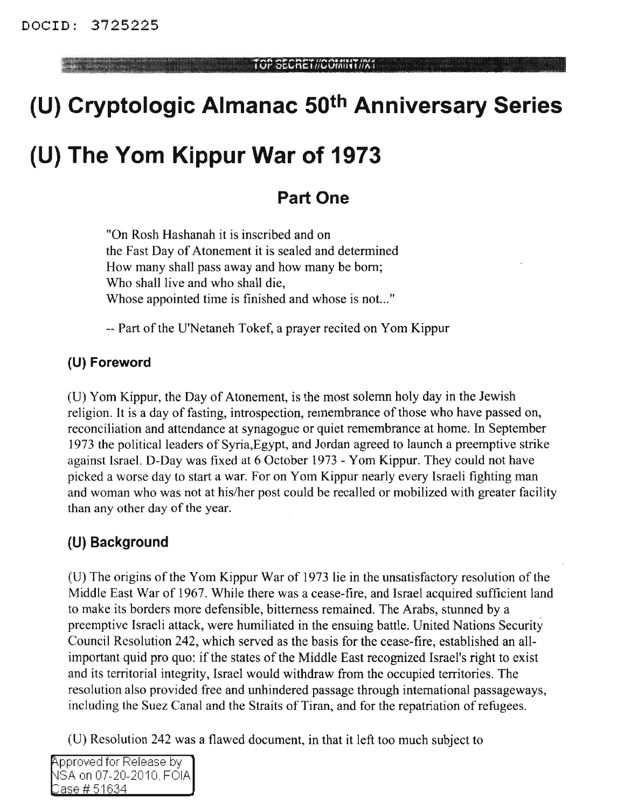**TOP SECRETIA ANSAINE ANGLICIAN NA KATIBANG ANGLIKA ANGLIKA ANGLIKA ANGLIKA ANGLIKA ANGLIKA ANGLIKA ANGLIKA ANG** 

# **(U) Cryptologic Almanac 50th Anniversary Series**

## **(U) The Yom Kippur War of 1973**

## **Part One**

"On Rosh Hashanah it is inscribed and on the Fast Day of Atonement it is sealed and determined How many shall pass away and how many be born; Who shall live and who shall die, Whose appointed time is finished and whose is not... "

-- Part of the U'Netaneh Tokef, a prayer recited on Yom Kippur

## **(U) Foreword**

(0) Yom Kippur, the Day of Atonement, is the most solemn holy day in the Jewish religion. It is a day of fasting, introspection, remembrance of those who have passed on, reconciliation and attendance at synagogue or quiet remembrance at home. **In** September 1973 the political leaders of Syria,Egypt, and Jordan agreed to launch a preemptive strike against Israel. D-Day was fixed at 6 October 1973 - Yom Kippur. They could not have picked a worse day to start a war. For on Yom Kippur nearly every Israeli fighting man and woman who was not at his/her post could be recalled or mobilized with greater facility than any other day of the year.

## **(U) Background**

 $(U)$  The origins of the Yom Kippur War of 1973 lie in the unsatisfactory resolution of the Middle East War of 1967. While there was a cease-fire, and Israel acquired sufficient land to make its borders more defensible, bitterness remained. The Arabs, stunned by a preemptive Israeli attack, were humiliated in the ensuing battle. United Nations Security Council Resolution 242, which served as the basis for the cease-fire, established an allimportant quid pro quo: if the states of the Middle East recognized Israel's right to exist and its territorial integrity, Israel would withdraw from the occupied territories. The resolution also provided free and unhindered passage through international passageways, including the Suez Canal and the Straits of Tiran, and for the repatriation of refugees.

(0) Resolution 242 was a flawed document, in that it left too much subject to

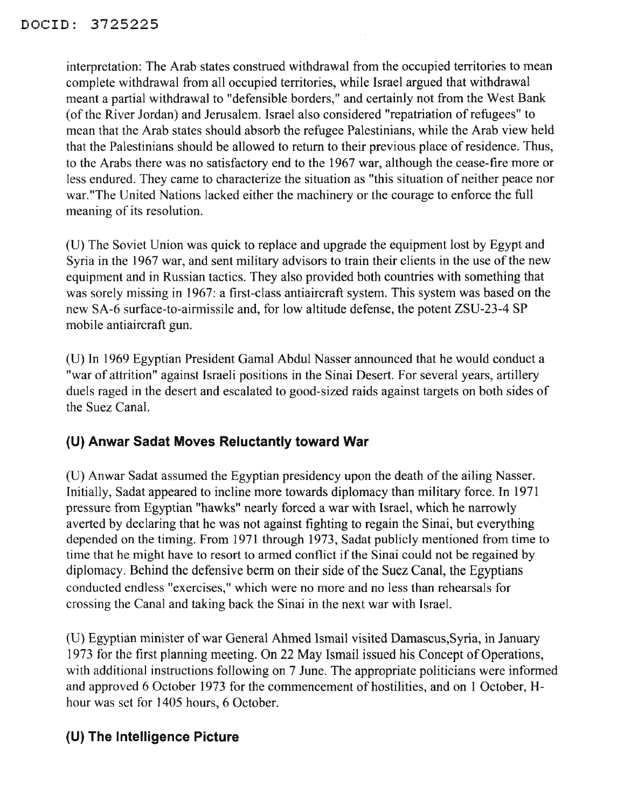interpretation: The Arab states construed withdrawal from the occupied territories to mean complete withdrawal from all occupied territories, while Israel argued that withdrawal meant a partial withdrawal to "defensible borders," and certainly not from the West Bank (of the River Jordan) and Jerusalem. Israel also considered "repatriation of refugees" to mean that the Arab states should absorb the refugee Palestinians, while the Arab view held that the Palestinians should be allowed to return to their previous place of residence. Thus, to the Arabs there was no satisfactory end to the 1967 war, although the cease-fire more or less endured. They came to characterize the situation as "this situation of neither peace nor war. "The United Nations lacked either the machinery or the courage to enforce the full meaning of its resolution.

(U) The Soviet Union was quick to replace and upgrade the equipment lost by Egypt and Syria in the 1967 war, and sent military advisors to train their clients in the use of the new equipment and in Russian tactics. They also provided both countries with something that was sorely missing in 1967: a first-class antiaircraft system. This system was based on the new SA-6 surface-to-airmissile and, for low altitude defense, the potent ZSU-23-4 SP mobile antiaircraft gun.

(U) In 1969 Egyptian President Gamal Abdul Nasser announced that he would conduct a "war of attrition" against Israeli positions in the Sinai Desert. For several years, artillery duels raged in the desert and escalated to good-sized raids against targets on both sides of the Suez Canal.

## **(U) Anwar Sadat Moves Reluctantly toward War**

(U) Anwar Sadat assumed the Egyptian presidency upon the death of the ailing Nasser. Initially, Sadat appeared to incline more towards diplomacy than military force. In 1971 pressure from Egyptian "hawks" nearly forced a war with Israel, which he narrowly averted by declaring that he was not against fighting to regain the Sinai, but everything depended on the timing. From 1971 through 1973, Sadat publicly mentioned from time to time that he might have to resort to armed conflict if the Sinai could not be regained by diplomacy. Behind the defensive berm on their side of the Suez Canal, the Egyptians conducted endless "exercises," which were no more and no less than rehearsals for crossing the Canal and taking back the Sinai in the next war with Israel.

(D) Egyptian minister of war General Ahmed Ismail visited Damascus,Syria, in January 1973 for the first planning meeting. On 22 May Ismail issued his Concept of Operations, with additional instructions following on 7 June. The appropriate politicians were informed and approved 6 October 1973 for the commencement of hostilities, and on 1 October, Hhour was set for 1405 hours, 6 October.

## **(U) The Intelligence Picture**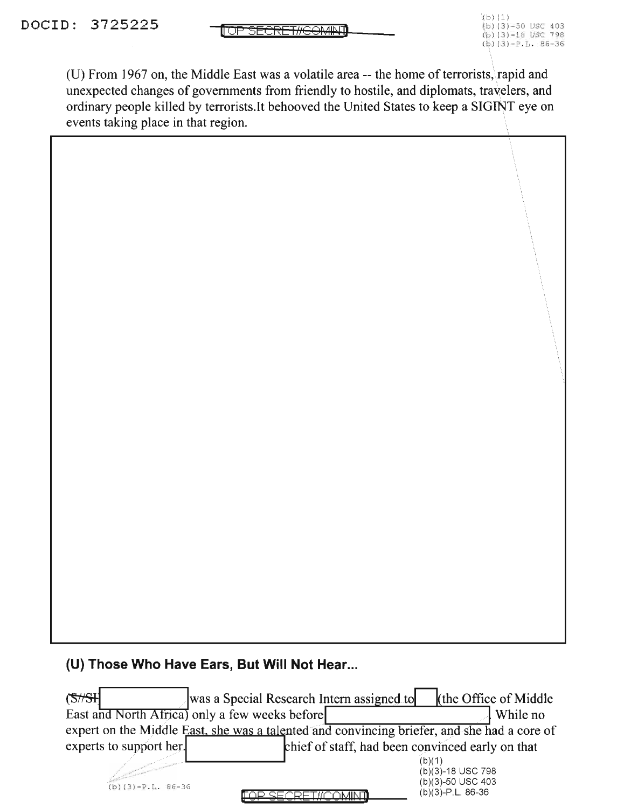(U) From 1967 on, the Middle East was a volatile area -- the home of terrorists, rapid and unexpected changes of governments from friendly to hostile, and diplomats, travelers, and ordinary people killed by terrorists.!t behooved the United States to keep a SIGINT eye on events taking place in that region.

#### **(U) Those Who Have Ears, But Will Not Hear...**

| (S/H)                   | was a Special Research Intern assigned to                                                   | the Office of Middle                                                    |
|-------------------------|---------------------------------------------------------------------------------------------|-------------------------------------------------------------------------|
|                         | East and North Africa) only a few weeks before                                              | While no                                                                |
|                         | expert on the Middle East, she was a talented and convincing briefer, and she had a core of |                                                                         |
| experts to support her. |                                                                                             | chief of staff, had been convinced early on that                        |
| $(b)(3)-P.L. 86-36$     |                                                                                             | (b)(1)<br>(b)(3)-18 USC 798<br>(b)(3)-50 USC 403<br>$(b)(3)-P.L. 86-36$ |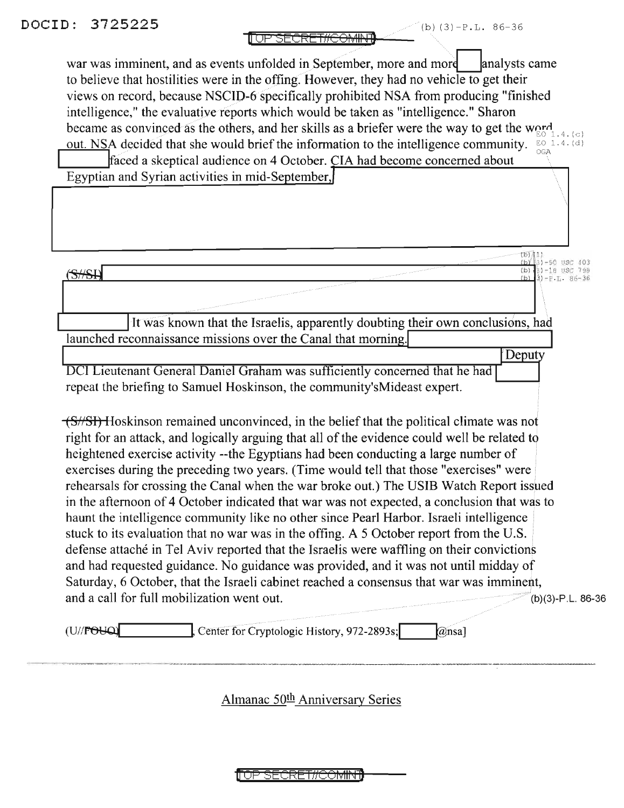1<mark>1 UP SECRET#C<del>OMINT</del></mark>

war was imminent, and as events unfolded in September, more and more analysts came to believe that hostilities were in the offing. However, they had no vehicle to get their views on record, because NSCID-6 specifically prohibited NSA from producing "finished intelligence," the evaluative reports which would be taken as "intelligence." Sharon became as convinced as the others, and her skills as a briefer were the way to get the word out. NSA decided that she would brief the information to the intelligence community. EQ 1.4. (d) faced a skeptical audience on 4 October. CIA had become concerned about Egyptian and Syrian activities in mid-September,  $\begin{bmatrix} 1 \\ -2 \end{bmatrix}$  respectively. The contract of  $\begin{bmatrix} 1 \\ -2 \end{bmatrix}$  respectively. l..Q..LLC'nl (b) 3) -18 USC 798  $\sum$  (b)  $\binom{3}{2}$  -18 USC 798 It was known that the Israelis, apparently doubting their own conclusions, had launched reconnaissance missions over the Canal that morning. Deputy DCI Lieutenant General Daniel Graham was sufficiently concerned that he had repeat the briefing to Samuel Hoskinson, the community'sMideast expert. (S//SI) Hoskinson remained unconvinced, in the belief that the political climate was not right for an attack, and logically arguing that all of the evidence could well be related to heightened exercise activity --the Egyptians had been conducting a large number of exercises during the preceding two years. (Time would tell that those "exercises" were rehearsals for crossing the Canal when the war broke out.) The USIB Watch Report issued in the afternoon of 4 October indicated that war was not expected, a conclusion that was to haunt the intelligence community like no other since Pearl Harbor. Israeli intelligence stuck to its evaluation that no war was in the offing. A 5 October report from the U.S. defense attache in Tel Aviv reported that the Israelis were waffling on their convictions and had requested guidance. No guidance was provided, and it was not until midday of and nad requested guidance. No guidance was provided, and it was not until midday of<br>Saturday, 6 October, that the Israeli cabinet reached a consensus that war was imminent,<br>and a call for full mobilization went out. Saturday, 6 October, that the Israeli cabinet reached a consensus that war was imminent, (U// $\text{FOLQ}$   $\downarrow$  Center for Cryptologic History, 972-2893s;  $\downarrow$   $\omega$ nsa]

Almanac 50<sup>th</sup> Anniversary Series

<del>'OP SECRET#COMINT</del>